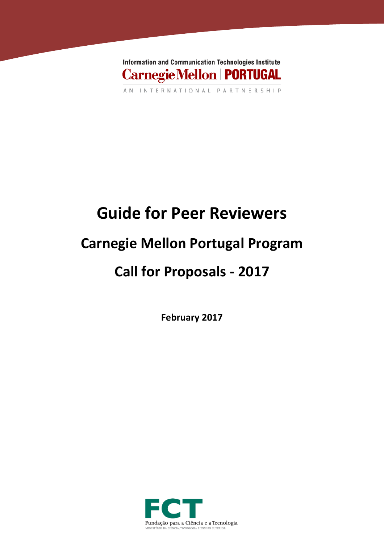

AN INTERNATIONAL PARTNERSHIP

# **Guide for Peer Reviewers**

## **Carnegie Mellon Portugal Program**

## **Call for Proposals - 2017**

**February 2017**

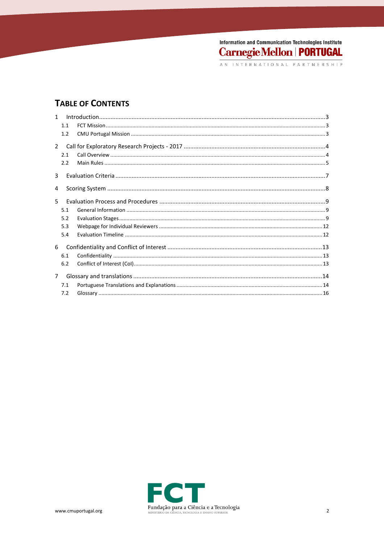## **TABLE OF CONTENTS**

|                | 1.1 |  |
|----------------|-----|--|
|                | 1.2 |  |
| $\mathcal{P}$  |     |  |
|                | 2.1 |  |
|                | 2.2 |  |
| $\overline{3}$ |     |  |
| 4              |     |  |
| 5              |     |  |
|                | 5.1 |  |
|                | 5.2 |  |
|                | 5.3 |  |
|                | 5.4 |  |
| 6              |     |  |
|                | 6.1 |  |
|                | 6.2 |  |
| $7^{\circ}$    |     |  |
|                | 7.1 |  |
|                | 7.2 |  |

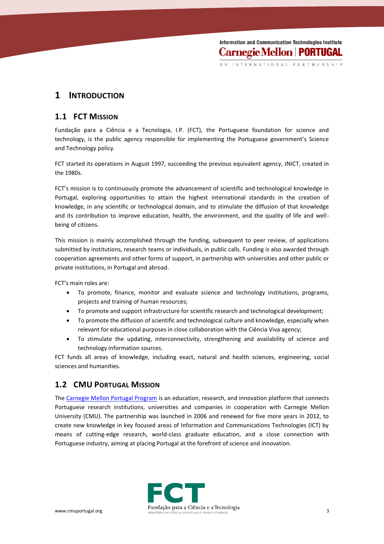INTERNATIONAL PARTNERSHIP

### **1 INTRODUCTION**

#### **1.1 FCT MISSION**

Fundação para a Ciência e a Tecnologia, I.P. (FCT), the Portuguese foundation for science and technology, is the public agency responsible for implementing the Portuguese government's Science and Technology policy.

FCT started its operations in August 1997, succeeding the previous equivalent agency, JNICT, created in the 1980s.

FCT's mission is to continuously promote the advancement of scientific and technological knowledge in Portugal, exploring opportunities to attain the highest international standards in the creation of knowledge, in any scientific or technological domain, and to stimulate the diffusion of that knowledge and its contribution to improve education, health, the environment, and the quality of life and wellbeing of citizens.

This mission is mainly accomplished through the funding, subsequent to peer review, of applications submitted by institutions, research teams or individuals, in public calls. Funding is also awarded through cooperation agreements and other forms of support, in partnership with universities and other public or private institutions, in Portugal and abroad.

FCT's main roles are:

- To promote, finance, monitor and evaluate science and technology institutions, programs, projects and training of human resources;
- To promote and support infrastructure for scientific research and technological development;
- To promote the diffusion of scientific and technological culture and knowledge, especially when relevant for educational purposes in close collaboration with the Ciência Viva agency;
- To stimulate the updating, interconnectivity, strengthening and availability of science and technology information sources.

FCT funds all areas of knowledge, including exact, natural and health sciences, engineering, social sciences and humanities.

#### **1.2 CMU PORTUGAL MISSION**

Th[e Carnegie Mellon Portugal Program](http://www.cmuportugal.org/) is an education, research, and innovation platform that connects Portuguese research institutions, universities and companies in cooperation with Carnegie Mellon University (CMU). The partnership was launched in 2006 and renewed for five more years in 2012, to create new knowledge in key focused areas of Information and Communications Technologies (ICT) by means of cutting-edge research, world-class graduate education, and a close connection with Portuguese industry, aiming at placing Portugal at the forefront of science and innovation.

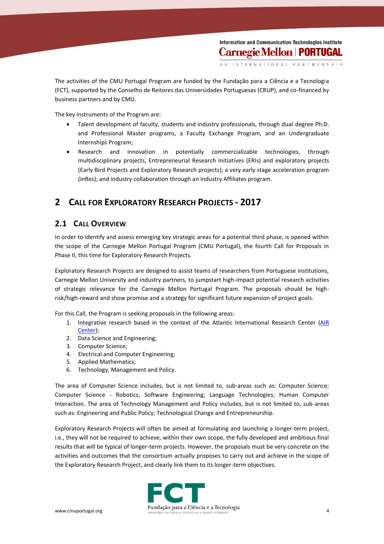INTERNATIONAL PARTNERSHIP

The activities of the CMU Portugal Program are funded by the Fundação para a Ciência e a Tecnologia (FCT), supported by the Conselho de Reitores das Universidades Portuguesas (CRUP), and co-financed by business partners and by CMU.

The key instruments of the Program are:

- Talent development of faculty, students and industry professionals, through dual degree Ph.D. and Professional Master programs, a Faculty Exchange Program, and an Undergraduate Internships Program;
- Research and innovation in potentially commercializable technologies, through multidisciplinary projects, Entrepreneurial Research Initiatives (ERIs) and exploratory projects (Early Bird Projects and Exploratory Research projects); a very early stage acceleration program (inRes); and industry collaboration through an Industry Affiliates program.

## **2 CALL FOR EXPLORATORY RESEARCH PROJECTS - 2017**

#### **2.1 CALL OVERVIEW**

In order to identify and assess emerging key strategic areas for a potential third phase, is opened within the scope of the Carnegie Mellon Portugal Program (CMU Portugal), the fourth Call for Proposals in Phase II, this time for Exploratory Research Projects.

Exploratory Research Projects are designed to assist teams of researchers from Portuguese institutions, Carnegie Mellon University and industry partners, to jumpstart high-impact potential research activities of strategic relevance for the Carnegie Mellon Portugal Program. The proposals should be highrisk/high-reward and show promise and a strategy for significant future expansion of project goals.

For this Call, the Program is seeking proposals in the following areas:

- 1. Integrative research based in the context of the Atlantic International Research Center [\(AIR](http://www.fct.pt/media/conferencias/docs/AIRCenter_whitepaper.pdf)  [Center\)](http://www.fct.pt/media/conferencias/docs/AIRCenter_whitepaper.pdf);
- 2. Data Science and Engineering;
- 3. Computer Science;
- 4. Electrical and Computer Engineering;
- 5. Applied Mathematics;
- 6. Technology, Management and Policy.

The area of Computer Science includes, but is not limited to, sub-areas such as: Computer Science; Computer Science - Robotics; Software Engineering; Language Technologies; Human Computer Interaction. The area of Technology Management and Policy includes, but is not limited to, sub-areas such as: Engineering and Public Policy; Technological Change and Entrepreneurship.

Exploratory Research Projects will often be aimed at formulating and launching a longer-term project, i.e., they will not be required to achieve, within their own scope, the fully developed and ambitious final results that will be typical of longer-term projects. However, the proposals must be very concrete on the activities and outcomes that the consortium actually proposes to carry out and achieve in the scope of the Exploratory Research Project, and clearly link them to its longer-term objectives.

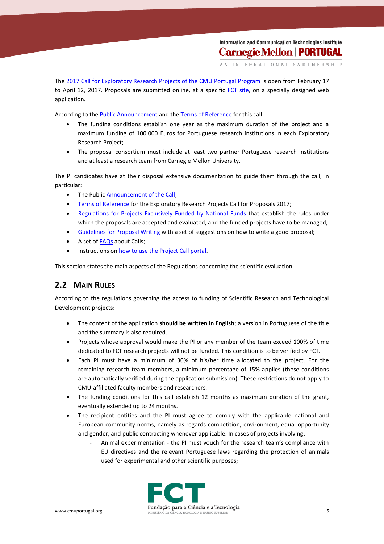INTERNATIONAL PARTNERSHIP

The 2017 Call for [Exploratory Research Projects of the CMU Portugal Program](https://www.fct.pt/apoios/projectos/concursos/cmu/2017/) is open from February 17 to April 12, 2017. Proposals are submitted online, at a specific [FCT site,](mailto:https://concursos.fct.pt/projectos/) on a specially designed web application.

According to the **Public Announcement** and the [Terms of Reference](https://www.fct.pt/apoios/projectos/concursos/cmu/2017/docs/CMU_Portugal_Program_2017_Terms_of_Reference.pdf) for this call:

- The funding conditions establish one year as the maximum duration of the project and a maximum funding of 100,000 Euros for Portuguese research institutions in each Exploratory Research Project;
- The proposal consortium must include at least two partner Portuguese research institutions and at least a research team from Carnegie Mellon University.

The PI candidates have at their disposal extensive documentation to guide them through the call, in particular:

- The Public [Announcement of the Call;](https://www.fct.pt/apoios/projectos/concursos/cmu/2017/docs/CMU_Portugal_Program_2017_Announcement_of_the_Call.pdf)
- [Terms of Reference](https://www.fct.pt/apoios/projectos/concursos/cmu/2017/docs/CMU_Portugal_Program_2017_Terms_of_Reference.pdf) for the Exploratory Research Projects Call for Proposals 2017;
- [Regulations for Projects Exclusively Funded by National Funds](http://www.fct.pt/apoios/projectos/regulamentofundosnacionais.phtml.en) that establish the rules under which the proposals are accepted and evaluated, and the funded projects have to be managed;
- [Guidelines for Proposal Writing](https://www.fct.pt/apoios/projectos/concursos/cmu/2017/docs/CMU_Portugal_Program_2017_Guidelines_for_Proposal_Writing.pdf) with a set of suggestions on how to write a good proposal;
- A set of **FAQs** about Calls;
- Instructions on [how to use the Project Call portal.](http://www.fct.pt/apoios/projectos/concursos/instrucoes.phtml.en)

This section states the main aspects of the Regulations concerning the scientific evaluation.

## **2.2 MAIN RULES**

According to the regulations governing the access to funding of Scientific Research and Technological Development projects:

- The content of the application **should be written in English**; a version in Portuguese of the title and the summary is also required.
- Projects whose approval would make the PI or any member of the team exceed 100% of time dedicated to FCT research projects will not be funded. This condition is to be verified by FCT.
- Each PI must have a minimum of 30% of his/her time allocated to the project. For the remaining research team members, a minimum percentage of 15% applies (these conditions are automatically verified during the application submission). These restrictions do not apply to CMU-affiliated faculty members and researchers.
- The funding conditions for this call establish 12 months as maximum duration of the grant, eventually extended up to 24 months.
- The recipient entities and the PI must agree to comply with the applicable national and European community norms, namely as regards competition, environment, equal opportunity and gender, and public contracting whenever applicable. In cases of projects involving:
	- Animal experimentation the PI must vouch for the research team's compliance with EU directives and the relevant Portuguese laws regarding the protection of animals used for experimental and other scientific purposes;

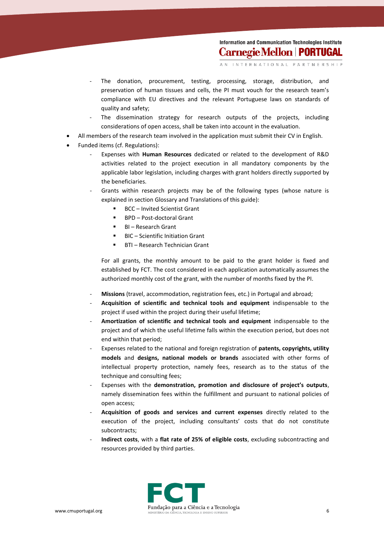INTERNATIONAL PARTNERSHIP

- The donation, procurement, testing, processing, storage, distribution, and preservation of human tissues and cells, the PI must vouch for the research team's compliance with EU directives and the relevant Portuguese laws on standards of quality and safety;
- The dissemination strategy for research outputs of the projects, including considerations of open access, shall be taken into account in the evaluation.
- All members of the research team involved in the application must submit their CV in English.
- Funded items (cf. Regulations):
	- Expenses with **Human Resources** dedicated or related to the development of R&D activities related to the project execution in all mandatory components by the applicable labor legislation, including charges with grant holders directly supported by the beneficiaries.
	- Grants within research projects may be of the following types (whose nature is explained in section Glossary and Translations of this guide):
		- BCC Invited Scientist Grant
		- BPD Post-doctoral Grant
		- BI Research Grant
		- BIC Scientific Initiation Grant
		- BTI Research Technician Grant

For all grants, the monthly amount to be paid to the grant holder is fixed and established by FCT. The cost considered in each application automatically assumes the authorized monthly cost of the grant, with the number of months fixed by the PI.

- Missions (travel, accommodation, registration fees, etc.) in Portugal and abroad;
- **Acquisition of scientific and technical tools and equipment** indispensable to the project if used within the project during their useful lifetime;
- Amortization of scientific and technical tools and equipment indispensable to the project and of which the useful lifetime falls within the execution period, but does not end within that period;
- Expenses related to the national and foreign registration of **patents, copyrights, utility models** and **designs, national models or brands** associated with other forms of intellectual property protection, namely fees, research as to the status of the technique and consulting fees;
- Expenses with the **demonstration, promotion and disclosure of project's outputs**, namely dissemination fees within the fulfillment and pursuant to national policies of open access;
- **Acquisition of goods and services and current expenses** directly related to the execution of the project, including consultants' costs that do not constitute subcontracts;
- **Indirect costs**, with a **flat rate of 25% of eligible costs**, excluding subcontracting and resources provided by third parties.

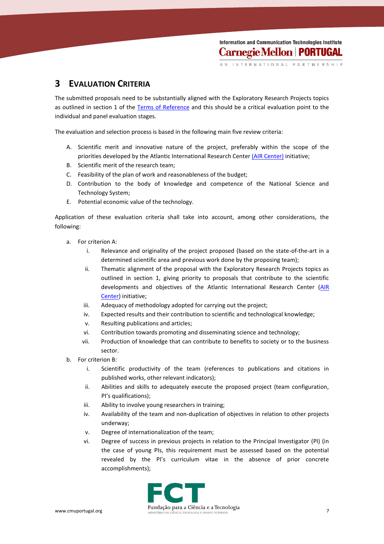INTERNATIONAL PARTNERSHIP

## **3 EVALUATION CRITERIA**

The submitted proposals need to be substantially aligned with the Exploratory Research Projects topics as outlined in section 1 of the [Terms of Reference](https://www.fct.pt/apoios/projectos/concursos/cmu/2017/docs/CMU_Portugal_Program_2017_Terms_of_Reference.pdf) and this should be a critical evaluation point to the individual and panel evaluation stages.

The evaluation and selection process is based in the following main five review criteria:

- A. Scientific merit and innovative nature of the project, preferably within the scope of the priorities developed by the Atlantic International Research Center [\(AIR Center\)](http://www.fct.pt/media/conferencias/docs/AIRCenter_whitepaper.pdf) initiative;
- B. Scientific merit of the research team;
- C. Feasibility of the plan of work and reasonableness of the budget;
- D. Contribution to the body of knowledge and competence of the National Science and Technology System;
- E. Potential economic value of the technology.

Application of these evaluation criteria shall take into account, among other considerations, the following:

- a. For criterion A:
	- i. Relevance and originality of the project proposed (based on the state-of-the-art in a determined scientific area and previous work done by the proposing team);
	- ii. Thematic alignment of the proposal with the Exploratory Research Projects topics as outlined in section 1, giving priority to proposals that contribute to the scientific developments and objectives of the Atlantic International Research Center (AIR [Center\)](http://www.fct.pt/media/conferencias/docs/AIRCenter_whitepaper.pdf) initiative;
	- iii. Adequacy of methodology adopted for carrying out the project;
	- iv. Expected results and their contribution to scientific and technological knowledge;
	- v. Resulting publications and articles;
	- vi. Contribution towards promoting and disseminating science and technology;
	- vii. Production of knowledge that can contribute to benefits to society or to the business sector.
- b. For criterion B:
	- i. Scientific productivity of the team (references to publications and citations in published works, other relevant indicators);
	- ii. Abilities and skills to adequately execute the proposed project (team configuration, PI's qualifications);
	- iii. Ability to involve young researchers in training;
	- iv. Availability of the team and non-duplication of objectives in relation to other projects underway;
	- v. Degree of internationalization of the team;
	- vi. Degree of success in previous projects in relation to the Principal Investigator (PI) (in the case of young PIs, this requirement must be assessed based on the potential revealed by the PI's curriculum vitae in the absence of prior concrete accomplishments);

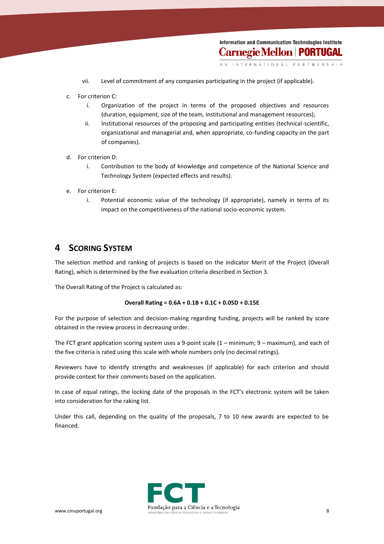- vii. Level of commitment of any companies participating in the project (if applicable).
- c. For criterion C:
	- i. Organization of the project in terms of the proposed objectives and resources (duration, equipment, size of the team, institutional and management resources);
	- ii. Institutional resources of the proposing and participating entities (technical-scientific, organizational and managerial and, when appropriate, co-funding capacity on the part of companies).
- d. For criterion D:
	- i. Contribution to the body of knowledge and competence of the National Science and Technology System (expected effects and results).
- e. For criterion E:
	- i. Potential economic value of the technology (if appropriate), namely in terms of its impact on the competitiveness of the national socio-economic system.

### **4 SCORING SYSTEM**

The selection method and ranking of projects is based on the indicator Merit of the Project (Overall Rating), which is determined by the five evaluation criteria described in Section 3.

The Overall Rating of the Project is calculated as:

#### **Overall Rating = 0.6A + 0.1B + 0.1C + 0.05D + 0.15E**

For the purpose of selection and decision-making regarding funding, projects will be ranked by score obtained in the review process in decreasing order.

The FCT grant application scoring system uses a 9-point scale (1 – minimum; 9 – maximum), and each of the five criteria is rated using this scale with whole numbers only (no decimal ratings).

Reviewers have to identify strengths and weaknesses (if applicable) for each criterion and should provide context for their comments based on the application.

In case of equal ratings, the locking date of the proposals in the FCT's electronic system will be taken into consideration for the raking list.

Under this call, depending on the quality of the proposals, 7 to 10 new awards are expected to be financed.

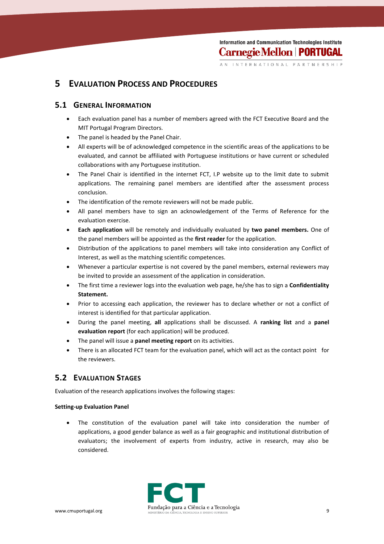INTERNATIONAL PARTNERSHIP

## **5 EVALUATION PROCESS AND PROCEDURES**

#### **5.1 GENERAL INFORMATION**

- Each evaluation panel has a number of members agreed with the FCT Executive Board and the MIT Portugal Program Directors.
- The panel is headed by the Panel Chair.
- All experts will be of acknowledged competence in the scientific areas of the applications to be evaluated, and cannot be affiliated with Portuguese institutions or have current or scheduled collaborations with any Portuguese institution.
- The Panel Chair is identified in the internet FCT, I.P website up to the limit date to submit applications. The remaining panel members are identified after the assessment process conclusion.
- The identification of the remote reviewers will not be made public.
- All panel members have to sign an acknowledgement of the Terms of Reference for the evaluation exercise.
- **Each application** will be remotely and individually evaluated by **two panel members.** One of the panel members will be appointed as the **first reader** for the application.
- Distribution of the applications to panel members will take into consideration any Conflict of Interest, as well as the matching scientific competences.
- Whenever a particular expertise is not covered by the panel members, external reviewers may be invited to provide an assessment of the application in consideration.
- The first time a reviewer logs into the evaluation web page, he/she has to sign a **Confidentiality Statement.**
- Prior to accessing each application, the reviewer has to declare whether or not a conflict of interest is identified for that particular application.
- During the panel meeting, **all** applications shall be discussed. A **ranking list** and a **panel evaluation report** (for each application) will be produced.
- The panel will issue a **panel meeting report** on its activities.
- There is an allocated FCT team for the evaluation panel, which will act as the contact point for the reviewers.

## **5.2 EVALUATION STAGES**

Evaluation of the research applications involves the following stages:

#### **Setting-up Evaluation Panel**

 The constitution of the evaluation panel will take into consideration the number of applications, a good gender balance as well as a fair geographic and institutional distribution of evaluators; the involvement of experts from industry, active in research, may also be considered.

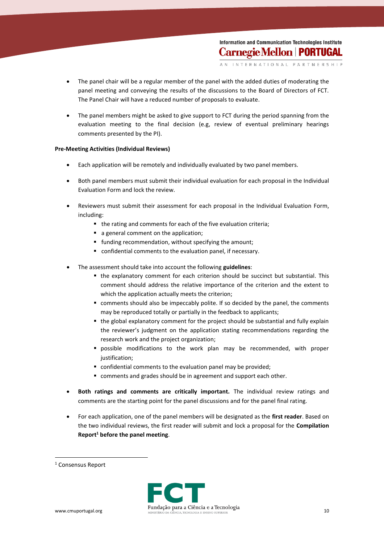INTERNATIONAL PARTNERSHIP

- The panel chair will be a regular member of the panel with the added duties of moderating the panel meeting and conveying the results of the discussions to the Board of Directors of FCT. The Panel Chair will have a reduced number of proposals to evaluate.
- The panel members might be asked to give support to FCT during the period spanning from the evaluation meeting to the final decision (e.g, review of eventual preliminary hearings comments presented by the PI).

#### **Pre-Meeting Activities (Individual Reviews)**

- Each application will be remotely and individually evaluated by two panel members.
- Both panel members must submit their individual evaluation for each proposal in the Individual Evaluation Form and lock the review.
- Reviewers must submit their assessment for each proposal in the Individual Evaluation Form, including:
	- the rating and comments for each of the five evaluation criteria;
	- a general comment on the application;
	- **funding recommendation, without specifying the amount;**
	- confidential comments to the evaluation panel, if necessary.
- The assessment should take into account the following **guidelines**:
	- the explanatory comment for each criterion should be succinct but substantial. This comment should address the relative importance of the criterion and the extent to which the application actually meets the criterion;
	- comments should also be impeccably polite. If so decided by the panel, the comments may be reproduced totally or partially in the feedback to applicants;
	- the global explanatory comment for the project should be substantial and fully explain the reviewer's judgment on the application stating recommendations regarding the research work and the project organization;
	- possible modifications to the work plan may be recommended, with proper justification;
	- confidential comments to the evaluation panel may be provided;
	- comments and grades should be in agreement and support each other.
- **Both ratings and comments are critically important.** The individual review ratings and comments are the starting point for the panel discussions and for the panel final rating.
- For each application, one of the panel members will be designated as the **first reader**. Based on the two individual reviews, the first reader will submit and lock a proposal for the **Compilation Report<sup>1</sup> before the panel meeting**.

1



<sup>&</sup>lt;sup>1</sup> Consensus Report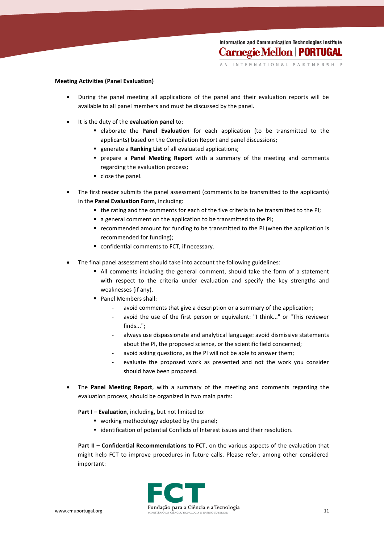INTERNATIONAL PARTNERSHIP

#### **Meeting Activities (Panel Evaluation)**

- During the panel meeting all applications of the panel and their evaluation reports will be available to all panel members and must be discussed by the panel.
- It is the duty of the **evaluation panel** to:
	- elaborate the **Panel Evaluation** for each application (to be transmitted to the applicants) based on the Compilation Report and panel discussions;
	- generate a **Ranking List** of all evaluated applications;
	- prepare a **Panel Meeting Report** with a summary of the meeting and comments regarding the evaluation process;
	- close the panel.
- The first reader submits the panel assessment (comments to be transmitted to the applicants) in the **Panel Evaluation Form**, including:
	- the rating and the comments for each of the five criteria to be transmitted to the PI;
	- a general comment on the application to be transmitted to the PI;
	- recommended amount for funding to be transmitted to the PI (when the application is recommended for funding);
	- confidential comments to FCT, if necessary.
- The final panel assessment should take into account the following guidelines:
	- All comments including the general comment, should take the form of a statement with respect to the criteria under evaluation and specify the key strengths and weaknesses (if any).
	- Panel Members shall:
		- avoid comments that give a description or a summary of the application;
		- avoid the use of the first person or equivalent: "I think..." or "This reviewer finds...";
		- always use dispassionate and analytical language: avoid dismissive statements about the PI, the proposed science, or the scientific field concerned;
		- avoid asking questions, as the PI will not be able to answer them;
		- evaluate the proposed work as presented and not the work you consider should have been proposed.
- The **Panel Meeting Report**, with a summary of the meeting and comments regarding the evaluation process, should be organized in two main parts:

**Part I – Evaluation**, including, but not limited to:

- **•** working methodology adopted by the panel;
- **E** identification of potential Conflicts of Interest issues and their resolution.

**Part II – Confidential Recommendations to FCT**, on the various aspects of the evaluation that might help FCT to improve procedures in future calls. Please refer, among other considered important:

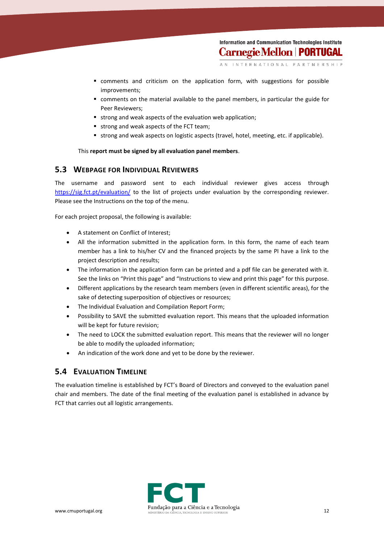- comments and criticism on the application form, with suggestions for possible improvements;
- comments on the material available to the panel members, in particular the guide for Peer Reviewers;
- strong and weak aspects of the evaluation web application;
- strong and weak aspects of the FCT team;
- strong and weak aspects on logistic aspects (travel, hotel, meeting, etc. if applicable).

This **report must be signed by all evaluation panel members**.

#### **5.3 WEBPAGE FOR INDIVIDUAL REVIEWERS**

The username and password sent to each individual reviewer gives access through <https://sig.fct.pt/evaluation/> to the list of projects under evaluation by the corresponding reviewer. Please see the Instructions on the top of the menu.

For each project proposal, the following is available:

- A statement on Conflict of Interest;
- All the information submitted in the application form. In this form, the name of each team member has a link to his/her CV and the financed projects by the same PI have a link to the project description and results;
- The information in the application form can be printed and a pdf file can be generated with it. See the links on "Print this page" and "Instructions to view and print this page" for this purpose.
- Different applications by the research team members (even in different scientific areas), for the sake of detecting superposition of objectives or resources;
- The Individual Evaluation and Compilation Report Form;
- Possibility to SAVE the submitted evaluation report. This means that the uploaded information will be kept for future revision;
- The need to LOCK the submitted evaluation report. This means that the reviewer will no longer be able to modify the uploaded information;
- An indication of the work done and yet to be done by the reviewer.

#### **5.4 EVALUATION TIMELINE**

The evaluation timeline is established by FCT's Board of Directors and conveyed to the evaluation panel chair and members. The date of the final meeting of the evaluation panel is established in advance by FCT that carries out all logistic arrangements.

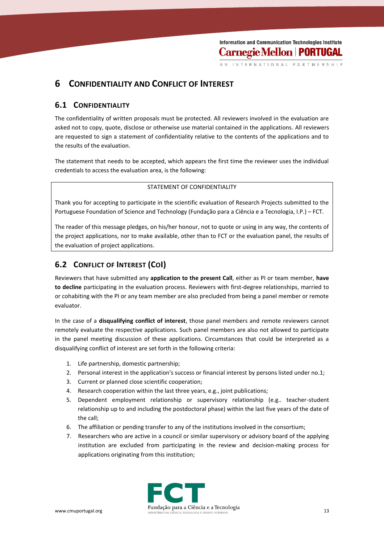## **6 CONFIDENTIALITY AND CONFLICT OF INTEREST**

#### **6.1 CONFIDENTIALITY**

The confidentiality of written proposals must be protected. All reviewers involved in the evaluation are asked not to copy, quote, disclose or otherwise use material contained in the applications. All reviewers are requested to sign a statement of confidentiality relative to the contents of the applications and to the results of the evaluation.

The statement that needs to be accepted, which appears the first time the reviewer uses the individual credentials to access the evaluation area, is the following:

#### STATEMENT OF CONFIDENTIALITY

Thank you for accepting to participate in the scientific evaluation of Research Projects submitted to the Portuguese Foundation of Science and Technology (Fundação para a Ciência e a Tecnologia, I.P.) – FCT.

The reader of this message pledges, on his/her honour, not to quote or using in any way, the contents of the project applications, nor to make available, other than to FCT or the evaluation panel, the results of the evaluation of project applications.

## **6.2 CONFLICT OF INTEREST (COI)**

Reviewers that have submitted any **application to the present Call**, either as PI or team member, **have to decline** participating in the evaluation process. Reviewers with first-degree relationships, married to or cohabiting with the PI or any team member are also precluded from being a panel member or remote evaluator.

In the case of a **disqualifying conflict of interest**, those panel members and remote reviewers cannot remotely evaluate the respective applications. Such panel members are also not allowed to participate in the panel meeting discussion of these applications. Circumstances that could be interpreted as a disqualifying conflict of interest are set forth in the following criteria:

- 1. Life partnership, domestic partnership;
- 2. Personal interest in the application's success or financial interest by persons listed under no.1;
- 3. Current or planned close scientific cooperation;
- 4. Research cooperation within the last three years, e.g., joint publications;
- 5. Dependent employment relationship or supervisory relationship (e.g.. teacher-student relationship up to and including the postdoctoral phase) within the last five years of the date of the call;
- 6. The affiliation or pending transfer to any of the institutions involved in the consortium;
- 7. Researchers who are active in a council or similar supervisory or advisory board of the applying institution are excluded from participating in the review and decision-making process for applications originating from this institution;

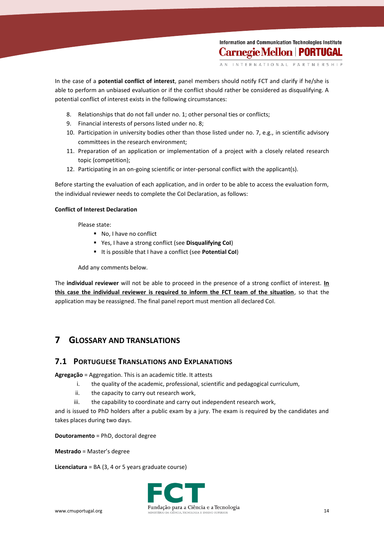INTERNATIONAL PARTNERSHIP

In the case of a **potential conflict of interest**, panel members should notify FCT and clarify if he/she is able to perform an unbiased evaluation or if the conflict should rather be considered as disqualifying. A potential conflict of interest exists in the following circumstances:

- 8. Relationships that do not fall under no. 1; other personal ties or conflicts;
- 9. Financial interests of persons listed under no. 8;
- 10. Participation in university bodies other than those listed under no. 7, e.g., in scientific advisory committees in the research environment;
- 11. Preparation of an application or implementation of a project with a closely related research topic (competition);
- 12. Participating in an on-going scientific or inter-personal conflict with the applicant(s).

Before starting the evaluation of each application, and in order to be able to access the evaluation form, the individual reviewer needs to complete the CoI Declaration, as follows:

#### **Conflict of Interest Declaration**

Please state:

- No, I have no conflict
- Yes, I have a strong conflict (see **Disqualifying CoI**)
- It is possible that I have a conflict (see **Potential CoI**)

Add any comments below.

The **individual reviewer** will not be able to proceed in the presence of a strong conflict of interest. **In this case the individual reviewer is required to inform the FCT team of the situation**, so that the application may be reassigned. The final panel report must mention all declared CoI.

## **7 GLOSSARY AND TRANSLATIONS**

#### **7.1 PORTUGUESE TRANSLATIONS AND EXPLANATIONS**

**Agregação** = Aggregation. This is an academic title. It attests

- i. the quality of the academic, professional, scientific and pedagogical curriculum,
- ii. the capacity to carry out research work,
- iii. the capability to coordinate and carry out independent research work,

and is issued to PhD holders after a public exam by a jury. The exam is required by the candidates and takes places during two days.

**Doutoramento** = PhD, doctoral degree

**Mestrado** = Master's degree

**Licenciatura** = BA (3, 4 or 5 years graduate course)

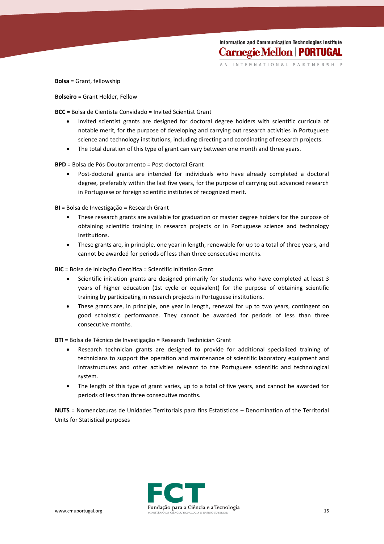INTERNATIONAL PARTNERSHIP

**Bolsa** = Grant, fellowship

**Bolseiro** = Grant Holder, Fellow

**BCC** = Bolsa de Cientista Convidado = Invited Scientist Grant

- Invited scientist grants are designed for doctoral degree holders with scientific curricula of notable merit, for the purpose of developing and carrying out research activities in Portuguese science and technology institutions, including directing and coordinating of research projects.
- The total duration of this type of grant can vary between one month and three years.

**BPD** = Bolsa de Pós-Doutoramento = Post-doctoral Grant

 Post-doctoral grants are intended for individuals who have already completed a doctoral degree, preferably within the last five years, for the purpose of carrying out advanced research in Portuguese or foreign scientific institutes of recognized merit.

**BI** = Bolsa de Investigação = Research Grant

- These research grants are available for graduation or master degree holders for the purpose of obtaining scientific training in research projects or in Portuguese science and technology institutions.
- These grants are, in principle, one year in length, renewable for up to a total of three years, and cannot be awarded for periods of less than three consecutive months.

**BIC** = Bolsa de Iniciação Científica = Scientific Initiation Grant

- Scientific initiation grants are designed primarily for students who have completed at least 3 years of higher education (1st cycle or equivalent) for the purpose of obtaining scientific training by participating in research projects in Portuguese institutions.
- These grants are, in principle, one year in length, renewal for up to two years, contingent on good scholastic performance. They cannot be awarded for periods of less than three consecutive months.

**BTI** = Bolsa de Técnico de Investigação = Research Technician Grant

- Research technician grants are designed to provide for additional specialized training of technicians to support the operation and maintenance of scientific laboratory equipment and infrastructures and other activities relevant to the Portuguese scientific and technological system.
- The length of this type of grant varies, up to a total of five years, and cannot be awarded for periods of less than three consecutive months.

**NUTS** = Nomenclaturas de Unidades Territoriais para fins Estatísticos – Denomination of the Territorial Units for Statistical purposes